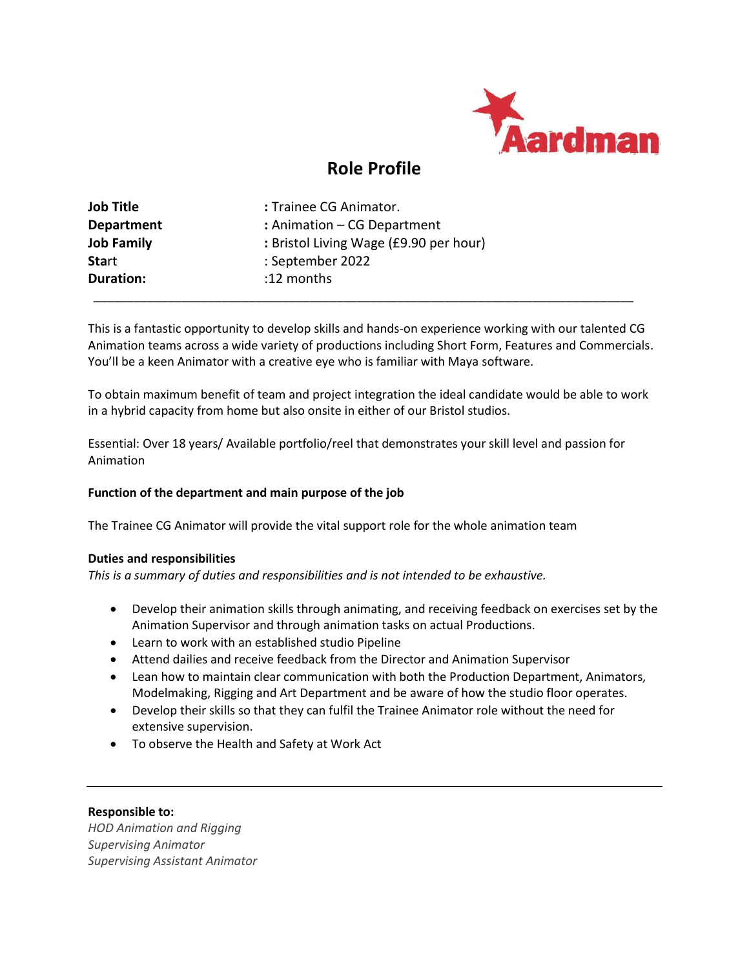

# **Role Profile**

| <b>Job Title</b>  | : Trainee CG Animator.                 |
|-------------------|----------------------------------------|
| <b>Department</b> | : Animation – CG Department            |
| <b>Job Family</b> | : Bristol Living Wage (£9.90 per hour) |
| <b>Start</b>      | : September 2022                       |
| Duration:         | :12 months                             |
|                   |                                        |

This is a fantastic opportunity to develop skills and hands-on experience working with our talented CG Animation teams across a wide variety of productions including Short Form, Features and Commercials. You'll be a keen Animator with a creative eye who is familiar with Maya software.

To obtain maximum benefit of team and project integration the ideal candidate would be able to work in a hybrid capacity from home but also onsite in either of our Bristol studios.

Essential: Over 18 years/ Available portfolio/reel that demonstrates your skill level and passion for Animation

## **Function of the department and main purpose of the job**

The Trainee CG Animator will provide the vital support role for the whole animation team

## **Duties and responsibilities**

*This is a summary of duties and responsibilities and is not intended to be exhaustive.*

- Develop their animation skills through animating, and receiving feedback on exercises set by the Animation Supervisor and through animation tasks on actual Productions.
- Learn to work with an established studio Pipeline
- Attend dailies and receive feedback from the Director and Animation Supervisor
- Lean how to maintain clear communication with both the Production Department, Animators, Modelmaking, Rigging and Art Department and be aware of how the studio floor operates.
- Develop their skills so that they can fulfil the Trainee Animator role without the need for extensive supervision.
- To observe the Health and Safety at Work Act

## **Responsible to:**

*HOD Animation and Rigging Supervising Animator Supervising Assistant Animator*